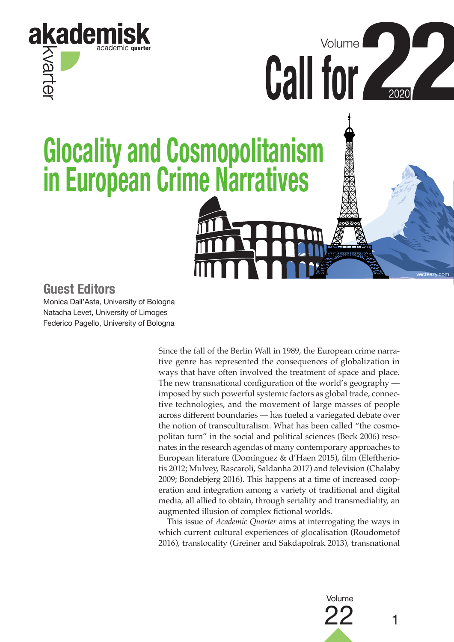

**Call for 4** Volume **Glocality and Cosmopolitanism in European Crime Narratives**

499935559

vecteezy.com

## **Guest Editors**

Monica Dall'Asta, University of Bologna Natacha Levet, University of Limoges Federico Pagello, University of Bologna

> Since the fall of the Berlin Wall in 1989, the European crime narrative genre has represented the consequences of globalization in ways that have often involved the treatment of space and place. The new transnational configuration of the world's geography imposed by such powerful systemic factors as global trade, connective technologies, and the movement of large masses of people across different boundaries — has fueled a variegated debate over the notion of transculturalism. What has been called "the cosmopolitan turn" in the social and political sciences (Beck 2006) resonates in the research agendas of many contemporary approaches to European literature (Domínguez & d'Haen 2015), film (Eleftheriotis 2012; Mulvey, Rascaroli, Saldanha 2017) and television (Chalaby 2009; Bondebjerg 2016). This happens at a time of increased cooperation and integration among a variety of traditional and digital media, all allied to obtain, through seriality and transmediality, an augmented illusion of complex fictional worlds.

> This issue of *Academic Quarter* aims at interrogating the ways in which current cultural experiences of glocalisation (Roudometof 2016), translocality (Greiner and Sakdapolrak 2013), transnational

> > $22 \t1$ Volume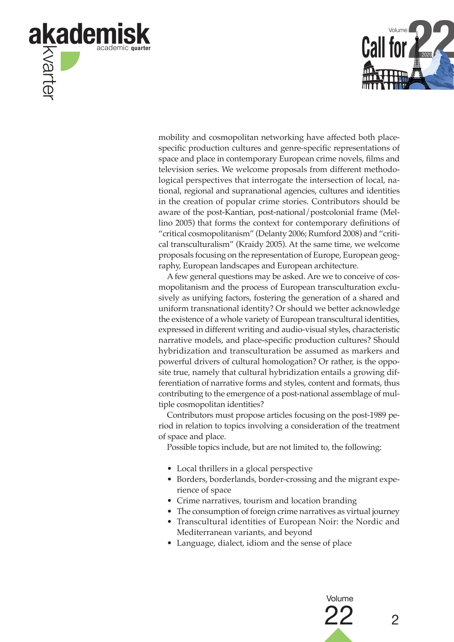



mobility and cosmopolitan networking have affected both placespecific production cultures and genre-specific representations of space and place in contemporary European crime novels, films and television series. We welcome proposals from different methodological perspectives that interrogate the intersection of local, national, regional and supranational agencies, cultures and identities in the creation of popular crime stories. Contributors should be aware of the post-Kantian, post-national/postcolonial frame (Mellino 2005) that forms the context for contemporary definitions of "critical cosmopolitanism" (Delanty 2006; Rumford 2008) and "critical transculturalism" (Kraidy 2005). At the same time, we welcome proposals focusing on the representation of Europe, European geography, European landscapes and European architecture.

A few general questions may be asked. Are we to conceive of cosmopolitanism and the process of European transculturation exclusively as unifying factors, fostering the generation of a shared and uniform transnational identity? Or should we better acknowledge the existence of a whole variety of European transcultural identities, expressed in different writing and audio-visual styles, characteristic narrative models, and place-specific production cultures? Should hybridization and transculturation be assumed as markers and powerful drivers of cultural homologation? Or rather, is the opposite true, namely that cultural hybridization entails a growing differentiation of narrative forms and styles, content and formats, thus contributing to the emergence of a post-national assemblage of multiple cosmopolitan identities?

Contributors must propose articles focusing on the post-1989 period in relation to topics involving a consideration of the treatment of space and place.

Possible topics include, but are not limited to, the following:

- Local thrillers in a glocal perspective
- Borders, borderlands, border-crossing and the migrant experience of space
- Crime narratives, tourism and location branding
- The consumption of foreign crime narratives as virtual journey
- Transcultural identities of European Noir: the Nordic and Mediterranean variants, and beyond
- Language, dialect, idiom and the sense of place

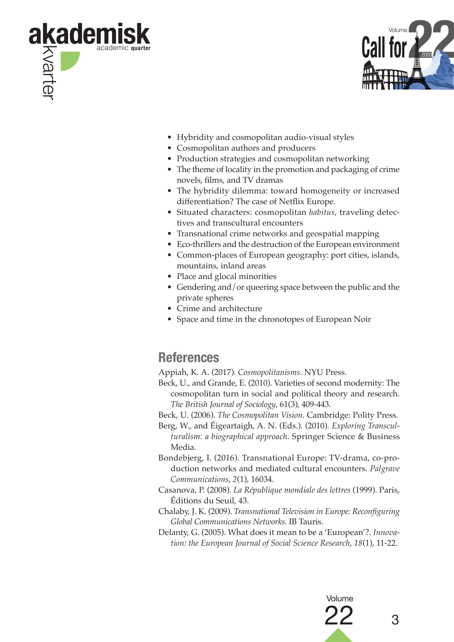



- Hybridity and cosmopolitan audio-visual styles
- Cosmopolitan authors and producers
- Production strategies and cosmopolitan networking
- The theme of locality in the promotion and packaging of crime novels, films, and TV dramas
- The hybridity dilemma: toward homogeneity or increased differentiation? The case of Netflix Europe.
- Situated characters: cosmopolitan *habitus*, traveling detectives and transcultural encounters
- Transnational crime networks and geospatial mapping
- Eco-thrillers and the destruction of the European environment
- Common-places of European geography: port cities, islands, mountains, inland areas
- Place and glocal minorities
- Gendering and/or queering space between the public and the private spheres
- Crime and architecture
- Space and time in the chronotopes of European Noir

## **References**

Appiah, K. A. (2017). *Cosmopolitanisms*. NYU Press.

- Beck, U., and Grande, E. (2010). Varieties of second modernity: The cosmopolitan turn in social and political theory and research. *The British Journal of Sociology*, 61(3), 409-443.
- Beck, U. (2006). *The Cosmopolitan Vision*. Cambridge: Polity Press.
- Berg, W., and Éigeartaigh, A. N. (Eds.). (2010). *Exploring Transculturalism: a biographical approach*. Springer Science & Business Media.
- Bondebjerg, I. (2016). Transnational Europe: TV-drama, co-production networks and mediated cultural encounters. *Palgrave Communications*, *2*(1), 16034.
- Casanova, P. (2008). *La République mondiale des lettres* (1999). Paris, Éditions du Seuil, 43.
- Chalaby, J. K. (2009). *Transnational Television in Europe: Reconfiguring Global Communications Networks.* IB Tauris.
- Delanty, G. (2005). What does it mean to be a 'European'?. *Innovation: the European Journal of Social Science Research*, *18*(1), 11-22.

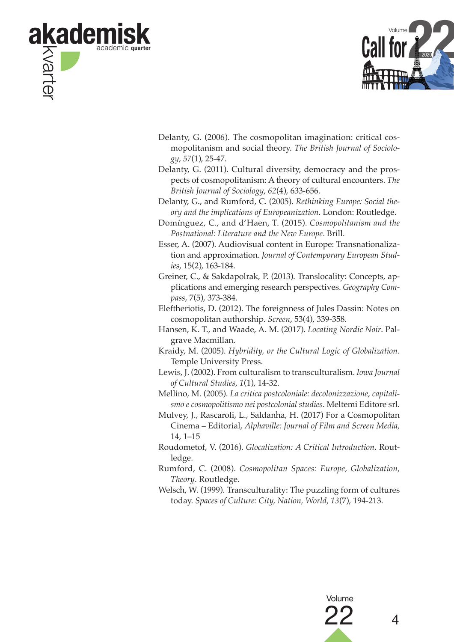



- Delanty, G. (2006). The cosmopolitan imagination: critical cosmopolitanism and social theory. *The British Journal of Sociology*, *57*(1), 25-47.
- Delanty, G. (2011). Cultural diversity, democracy and the prospects of cosmopolitanism: A theory of cultural encounters. *The British Journal of Sociology*, *62*(4), 633-656.

Delanty, G., and Rumford, C. (2005). *Rethinking Europe: Social theory and the implications of Europeanization*. London: Routledge.

- Domínguez, C., and d'Haen, T. (2015). *Cosmopolitanism and the Postnational: Literature and the New Europe*. Brill.
- Esser, A. (2007). Audiovisual content in Europe: Transnationalization and approximation. *Journal of Contemporary European Studies*, 15(2), 163-184.
- Greiner, C., & Sakdapolrak, P. (2013). Translocality: Concepts, applications and emerging research perspectives. *Geography Compass*, 7(5), 373-384.
- Eleftheriotis, D. (2012). The foreignness of Jules Dassin: Notes on cosmopolitan authorship. *Screen*, 53(4), 339-358.
- Hansen, K. T., and Waade, A. M. (2017). *Locating Nordic Noir*. Palgrave Macmillan.
- Kraidy, M. (2005). *Hybridity, or the Cultural Logic of Globalization*. Temple University Press.
- Lewis, J. (2002). From culturalism to transculturalism. *Iowa Journal of Cultural Studies*, *1*(1), 14-32.
- Mellino, M. (2005). *La critica postcoloniale: decolonizzazione, capitalismo e cosmopolitismo nei postcolonial studies*. Meltemi Editore srl.
- Mulvey, J., Rascaroli, L., Saldanha, H. (2017) For a Cosmopolitan Cinema – Editorial, *Alphaville: Journal of Film and Screen Media,*  14, 1–15
- Roudometof, V. (2016). *Glocalization: A Critical Introduction*. Routledge.
- Rumford, C. (2008). *Cosmopolitan Spaces: Europe, Globalization, Theory*. Routledge.
- Welsch, W. (1999). Transculturality: The puzzling form of cultures today. *Spaces of Culture: City, Nation, World*, *13*(7), 194-213.

22 <sup>4</sup>

Volume